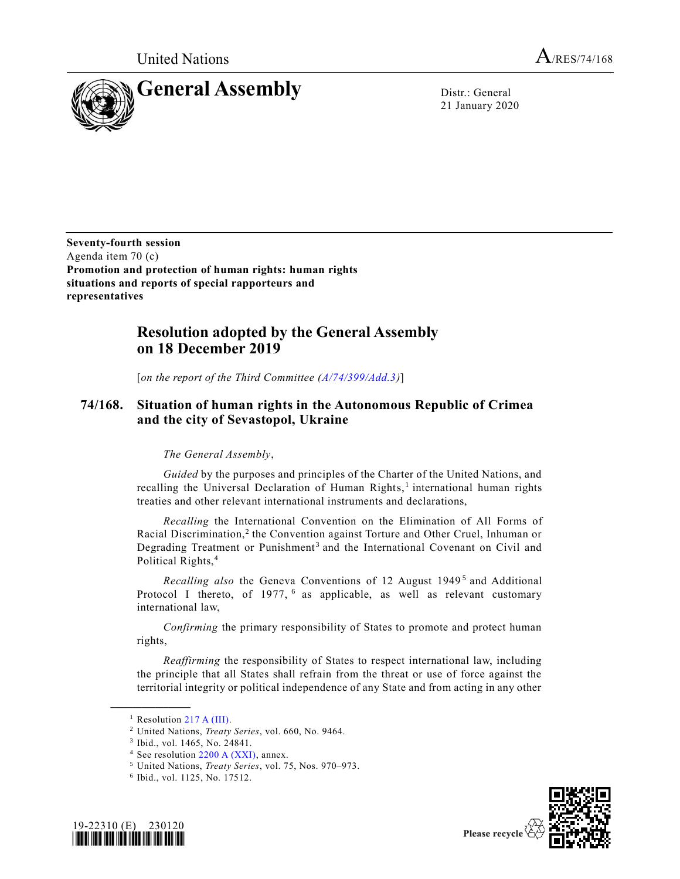United Nations  $A_{/RES/74/168}$ 



21 January 2020

**Seventy-fourth session** Agenda item 70 (c) **Promotion and protection of human rights: human rights situations and reports of special rapporteurs and representatives**

## **Resolution adopted by the General Assembly on 18 December 2019**

[*on the report of the Third Committee [\(A/74/399/Add.3\)](https://undocs.org/en/A/74/399/Add.3)*]

## **74/168. Situation of human rights in the Autonomous Republic of Crimea and the city of Sevastopol, Ukraine**

## *The General Assembly*,

*Guided* by the purposes and principles of the Charter of the United Nations, and recalling the Universal Declaration of Human Rights,<sup>1</sup> international human rights treaties and other relevant international instruments and declarations,

*Recalling* the International Convention on the Elimination of All Forms of Racial Discrimination,<sup>2</sup> the Convention against Torture and Other Cruel, Inhuman or Degrading Treatment or Punishment<sup>3</sup> and the International Covenant on Civil and Political Rights,<sup>4</sup>

Recalling also the Geneva Conventions of 12 August 1949<sup>5</sup> and Additional Protocol I thereto, of 1977, <sup>6</sup> as applicable, as well as relevant customary international law,

*Confirming* the primary responsibility of States to promote and protect human rights,

*Reaffirming* the responsibility of States to respect international law, including the principle that all States shall refrain from the threat or use of force against the territorial integrity or political independence of any State and from acting in any other

<sup>6</sup> Ibid., vol. 1125, No. 17512.





<sup>&</sup>lt;sup>1</sup> Resolution [217 A \(III\).](https://undocs.org/en/A/RES/217%20(III))

<sup>2</sup> United Nations, *Treaty Series*, vol. 660, No. 9464.

<sup>3</sup> Ibid., vol. 1465, No. 24841.

<sup>4</sup> See resolution [2200 A \(XXI\),](https://undocs.org/en/A/RES/2200%20(XXI)) annex.

<sup>5</sup> United Nations, *Treaty Series*, vol. 75, Nos. 970–973.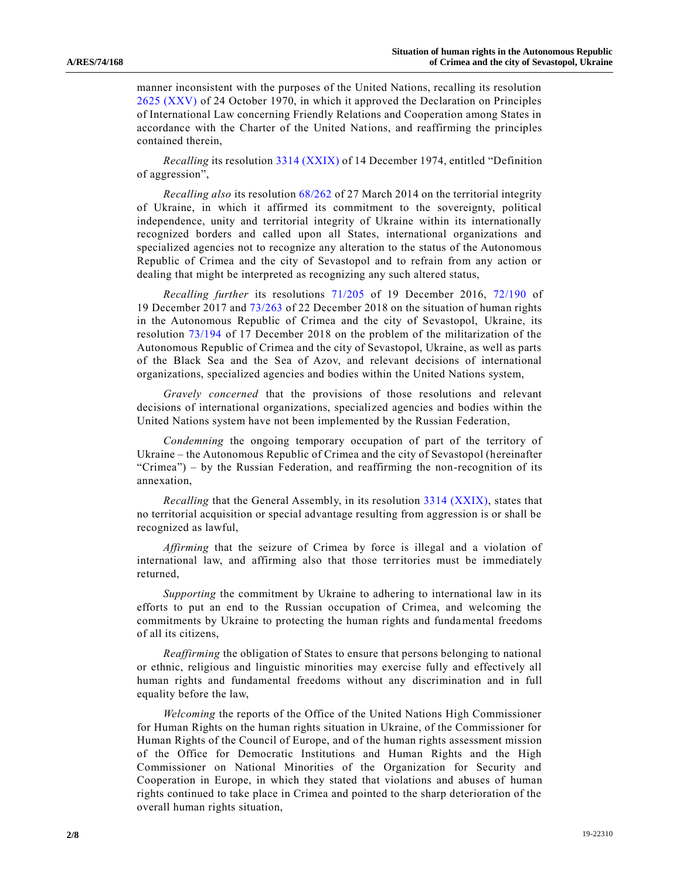manner inconsistent with the purposes of the United Nations, recalling its resolution [2625 \(XXV\)](https://undocs.org/en/A/RES/2625%20(XXV)) of 24 October 1970, in which it approved the Declaration on Principles of International Law concerning Friendly Relations and Cooperation among States in accordance with the Charter of the United Nations, and reaffirming the principles contained therein,

*Recalling* its resolution [3314 \(XXIX\)](https://undocs.org/en/A/RES/3314%20(XXIX)) of 14 December 1974, entitled "Definition of aggression",

*Recalling also* its resolution [68/262](https://undocs.org/en/A/RES/68/262) of 27 March 2014 on the territorial integrity of Ukraine, in which it affirmed its commitment to the sovereignty, political independence, unity and territorial integrity of Ukraine within its internationally recognized borders and called upon all States, international organizations and specialized agencies not to recognize any alteration to the status of the Autonomous Republic of Crimea and the city of Sevastopol and to refrain from any action or dealing that might be interpreted as recognizing any such altered status,

*Recalling further* its resolutions [71/205](https://undocs.org/en/A/RES/71/205) of 19 December 2016, [72/190](https://undocs.org/en/A/RES/72/190) of 19 December 2017 and [73/263](https://undocs.org/en/A/RES/73/263) of 22 December 2018 on the situation of human rights in the Autonomous Republic of Crimea and the city of Sevastopol, Ukraine, its resolution [73/194](https://undocs.org/en/A/RES/73/194) of 17 December 2018 on the problem of the militarization of the Autonomous Republic of Crimea and the city of Sevastopol, Ukraine, as well as parts of the Black Sea and the Sea of Azov, and relevant decisions of international organizations, specialized agencies and bodies within the United Nations system,

*Gravely concerned* that the provisions of those resolutions and relevant decisions of international organizations, specialized agencies and bodies within the United Nations system have not been implemented by the Russian Federation,

*Condemning* the ongoing temporary occupation of part of the territory of Ukraine – the Autonomous Republic of Crimea and the city of Sevastopol (hereinafter "Crimea") – by the Russian Federation, and reaffirming the non-recognition of its annexation,

*Recalling* that the General Assembly, in its resolution [3314 \(XXIX\),](https://undocs.org/en/A/RES/3314%20(XXIX)) states that no territorial acquisition or special advantage resulting from aggression is or shall be recognized as lawful,

*Affirming* that the seizure of Crimea by force is illegal and a violation of international law, and affirming also that those territories must be immediately returned,

*Supporting* the commitment by Ukraine to adhering to international law in its efforts to put an end to the Russian occupation of Crimea, and welcoming the commitments by Ukraine to protecting the human rights and fundamental freedoms of all its citizens,

*Reaffirming* the obligation of States to ensure that persons belonging to national or ethnic, religious and linguistic minorities may exercise fully and effectively all human rights and fundamental freedoms without any discrimination and in full equality before the law,

*Welcoming* the reports of the Office of the United Nations High Commissioner for Human Rights on the human rights situation in Ukraine, of the Commissioner for Human Rights of the Council of Europe, and of the human rights assessment mission of the Office for Democratic Institutions and Human Rights and the High Commissioner on National Minorities of the Organization for Security and Cooperation in Europe, in which they stated that violations and abuses of human rights continued to take place in Crimea and pointed to the sharp deterioration of the overall human rights situation,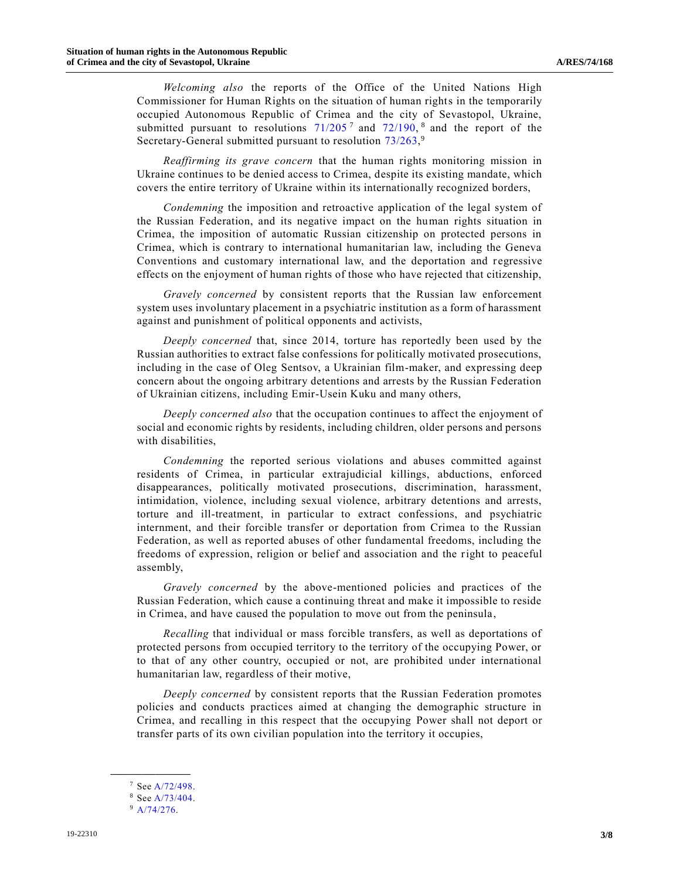*Welcoming also* the reports of the Office of the United Nations High Commissioner for Human Rights on the situation of human rights in the temporarily occupied Autonomous Republic of Crimea and the city of Sevastopol, Ukraine, submitted pursuant to resolutions  $71/205^7$  $71/205^7$  and  $72/190$ ,  $^8$  and the report of the Secretary-General submitted pursuant to resolution  $73/263$ ,<sup>9</sup>

<span id="page-2-2"></span><span id="page-2-1"></span><span id="page-2-0"></span>*Reaffirming its grave concern* that the human rights monitoring mission in Ukraine continues to be denied access to Crimea, despite its existing mandate, which covers the entire territory of Ukraine within its internationally recognized borders,

*Condemning* the imposition and retroactive application of the legal system of the Russian Federation, and its negative impact on the human rights situation in Crimea, the imposition of automatic Russian citizenship on protected persons in Crimea, which is contrary to international humanitarian law, including the Geneva Conventions and customary international law, and the deportation and regressive effects on the enjoyment of human rights of those who have rejected that citizenship,

*Gravely concerned* by consistent reports that the Russian law enforcement system uses involuntary placement in a psychiatric institution as a form of harassment against and punishment of political opponents and activists,

*Deeply concerned* that, since 2014, torture has reportedly been used by the Russian authorities to extract false confessions for politically motivated prosecutions, including in the case of Oleg Sentsov, a Ukrainian film-maker, and expressing deep concern about the ongoing arbitrary detentions and arrests by the Russian Federation of Ukrainian citizens, including Emir-Usein Kuku and many others,

*Deeply concerned also* that the occupation continues to affect the enjoyment of social and economic rights by residents, including children, older persons and persons with disabilities,

*Condemning* the reported serious violations and abuses committed against residents of Crimea, in particular extrajudicial killings, abductions, enforced disappearances, politically motivated prosecutions, discrimination, harassment, intimidation, violence, including sexual violence, arbitrary detentions and arrests, torture and ill-treatment, in particular to extract confessions, and psychiatric internment, and their forcible transfer or deportation from Crimea to the Russian Federation, as well as reported abuses of other fundamental freedoms, including the freedoms of expression, religion or belief and association and the right to peaceful assembly,

*Gravely concerned* by the above-mentioned policies and practices of the Russian Federation, which cause a continuing threat and make it impossible to reside in Crimea, and have caused the population to move out from the peninsula,

*Recalling* that individual or mass forcible transfers, as well as deportations of protected persons from occupied territory to the territory of the occupying Power, or to that of any other country, occupied or not, are prohibited under international humanitarian law, regardless of their motive,

*Deeply concerned* by consistent reports that the Russian Federation promotes policies and conducts practices aimed at changing the demographic structure in Crimea, and recalling in this respect that the occupying Power shall not deport or transfer parts of its own civilian population into the territory it occupies,

<sup>7</sup> Se[e A/72/498.](https://undocs.org/en/A/72/498)

<sup>8</sup> Se[e A/73/404.](https://undocs.org/en/A/73/404)

 $9$  [A/74/276.](https://undocs.org/en/A/74/276)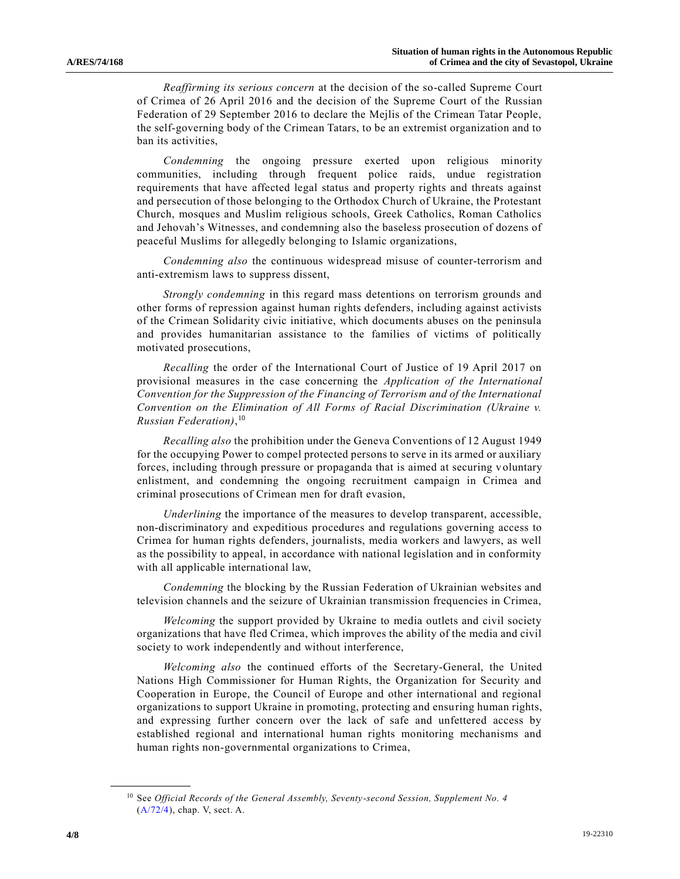*Reaffirming its serious concern* at the decision of the so-called Supreme Court of Crimea of 26 April 2016 and the decision of the Supreme Court of the Russian Federation of 29 September 2016 to declare the Mejlis of the Crimean Tatar People, the self-governing body of the Crimean Tatars, to be an extremist organization and to ban its activities,

*Condemning* the ongoing pressure exerted upon religious minority communities, including through frequent police raids, undue registration requirements that have affected legal status and property rights and threats against and persecution of those belonging to the Orthodox Church of Ukraine, the Protestant Church, mosques and Muslim religious schools, Greek Catholics, Roman Catholics and Jehovah's Witnesses, and condemning also the baseless prosecution of dozens of peaceful Muslims for allegedly belonging to Islamic organizations,

*Condemning also* the continuous widespread misuse of counter-terrorism and anti-extremism laws to suppress dissent,

*Strongly condemning* in this regard mass detentions on terrorism grounds and other forms of repression against human rights defenders, including against activists of the Crimean Solidarity civic initiative, which documents abuses on the peninsula and provides humanitarian assistance to the families of victims of politically motivated prosecutions,

*Recalling* the order of the International Court of Justice of 19 April 2017 on provisional measures in the case concerning the *Application of the International Convention for the Suppression of the Financing of Terrorism and of the International Convention on the Elimination of All Forms of Racial Discrimination (Ukraine v. Russian Federation)*, 10

<span id="page-3-0"></span>*Recalling also* the prohibition under the Geneva Conventions of 12 August 1949 for the occupying Power to compel protected persons to serve in its armed or auxiliary forces, including through pressure or propaganda that is aimed at securing voluntary enlistment, and condemning the ongoing recruitment campaign in Crimea and criminal prosecutions of Crimean men for draft evasion,

*Underlining* the importance of the measures to develop transparent, accessible, non-discriminatory and expeditious procedures and regulations governing access to Crimea for human rights defenders, journalists, media workers and lawyers, as well as the possibility to appeal, in accordance with national legislation and in conformity with all applicable international law,

*Condemning* the blocking by the Russian Federation of Ukrainian websites and television channels and the seizure of Ukrainian transmission frequencies in Crimea,

*Welcoming* the support provided by Ukraine to media outlets and civil society organizations that have fled Crimea, which improves the ability of the media and civil society to work independently and without interference,

*Welcoming also* the continued efforts of the Secretary-General, the United Nations High Commissioner for Human Rights, the Organization for Security and Cooperation in Europe, the Council of Europe and other international and regional organizations to support Ukraine in promoting, protecting and ensuring human rights, and expressing further concern over the lack of safe and unfettered access by established regional and international human rights monitoring mechanisms and human rights non-governmental organizations to Crimea,

<sup>10</sup> See *Official Records of the General Assembly, Seventy-second Session, Supplement No. 4* [\(A/72/4\)](https://undocs.org/en/A/72/4), chap. V, sect. A.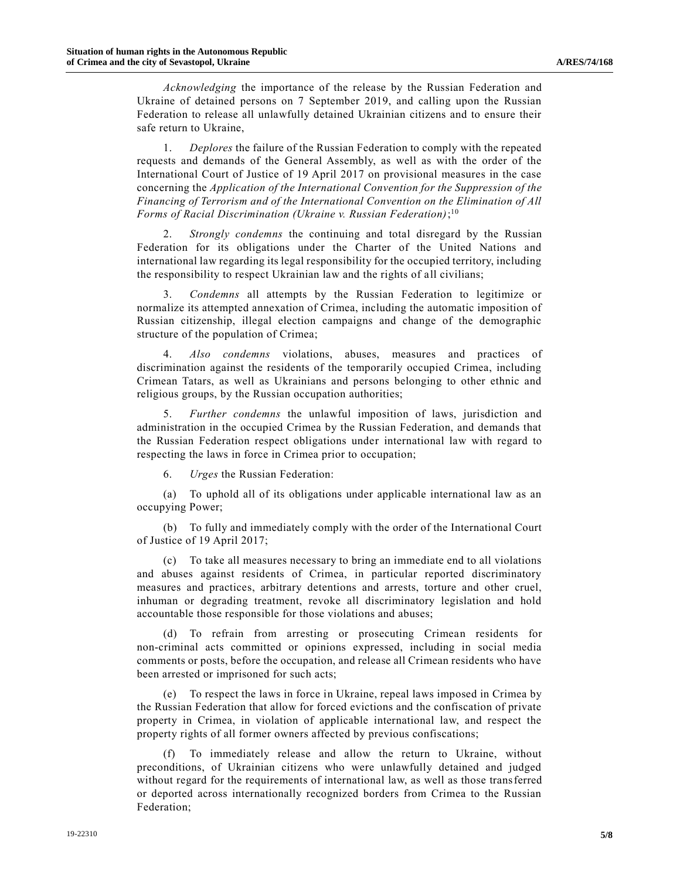*Acknowledging* the importance of the release by the Russian Federation and Ukraine of detained persons on 7 September 2019, and calling upon the Russian Federation to release all unlawfully detained Ukrainian citizens and to ensure their safe return to Ukraine,

1. *Deplores* the failure of the Russian Federation to comply with the repeated requests and demands of the General Assembly, as well as with the order of the International Court of Justice of 19 April 2017 on provisional measures in the case concerning the *Application of the International Convention for the Suppression of the Financing of Terrorism and of the International Convention on the Elimination of All Forms of Racial Discrimination (Ukraine v. Russian Federation)*; [10](#page-3-0)

2. *Strongly condemns* the continuing and total disregard by the Russian Federation for its obligations under the Charter of the United Nations and international law regarding its legal responsibility for the occupied territory, including the responsibility to respect Ukrainian law and the rights of all civilians;

3. *Condemns* all attempts by the Russian Federation to legitimize or normalize its attempted annexation of Crimea, including the automatic imposition of Russian citizenship, illegal election campaigns and change of the demographic structure of the population of Crimea;

4. *Also condemns* violations, abuses, measures and practices of discrimination against the residents of the temporarily occupied Crimea, including Crimean Tatars, as well as Ukrainians and persons belonging to other ethnic and religious groups, by the Russian occupation authorities;

5. *Further condemns* the unlawful imposition of laws, jurisdiction and administration in the occupied Crimea by the Russian Federation, and demands that the Russian Federation respect obligations under international law with regard to respecting the laws in force in Crimea prior to occupation;

6. *Urges* the Russian Federation:

(a) To uphold all of its obligations under applicable international law as an occupying Power;

(b) To fully and immediately comply with the order of the International Court of Justice of 19 April 2017;

(c) To take all measures necessary to bring an immediate end to all violations and abuses against residents of Crimea, in particular reported discriminatory measures and practices, arbitrary detentions and arrests, torture and other cruel, inhuman or degrading treatment, revoke all discriminatory legislation and hold accountable those responsible for those violations and abuses;

(d) To refrain from arresting or prosecuting Crimean residents for non-criminal acts committed or opinions expressed, including in social media comments or posts, before the occupation, and release all Crimean residents who have been arrested or imprisoned for such acts;

(e) To respect the laws in force in Ukraine, repeal laws imposed in Crimea by the Russian Federation that allow for forced evictions and the confiscation of private property in Crimea, in violation of applicable international law, and respect the property rights of all former owners affected by previous confiscations;

(f) To immediately release and allow the return to Ukraine, without preconditions, of Ukrainian citizens who were unlawfully detained and judged without regard for the requirements of international law, as well as those transferred or deported across internationally recognized borders from Crimea to the Russian Federation;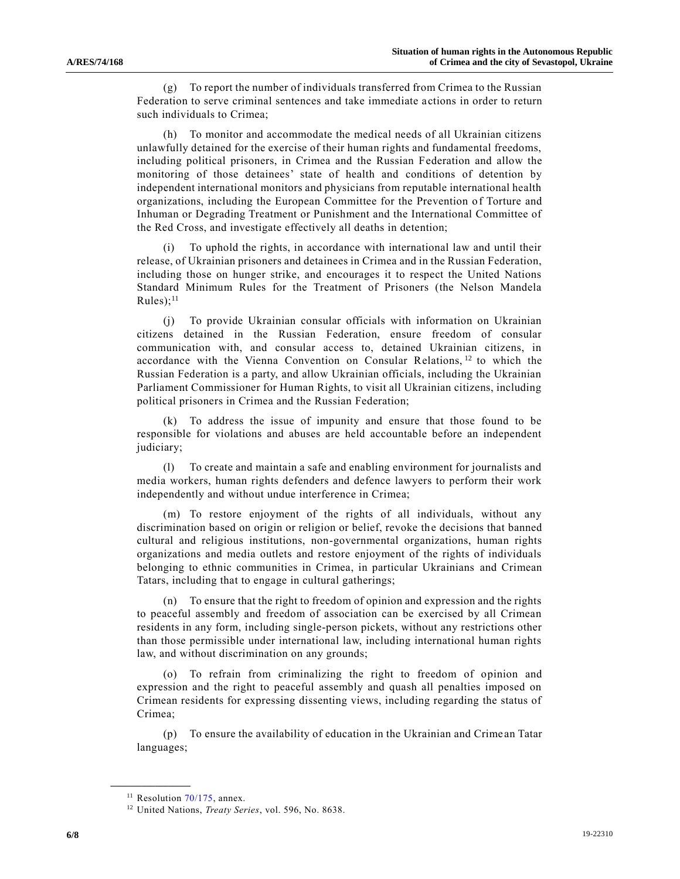(g) To report the number of individuals transferred from Crimea to the Russian Federation to serve criminal sentences and take immediate actions in order to return such individuals to Crimea;

(h) To monitor and accommodate the medical needs of all Ukrainian citizens unlawfully detained for the exercise of their human rights and fundamental freedoms, including political prisoners, in Crimea and the Russian Federation and allow the monitoring of those detainees' state of health and conditions of detention by independent international monitors and physicians from reputable international health organizations, including the European Committee for the Prevention of Torture and Inhuman or Degrading Treatment or Punishment and the International Committee of the Red Cross, and investigate effectively all deaths in detention;

(i) To uphold the rights, in accordance with international law and until their release, of Ukrainian prisoners and detainees in Crimea and in the Russian Federation, including those on hunger strike, and encourages it to respect the United Nations Standard Minimum Rules for the Treatment of Prisoners (the Nelson Mandela  $Rules)$ ;<sup>11</sup>

(j) To provide Ukrainian consular officials with information on Ukrainian citizens detained in the Russian Federation, ensure freedom of consular communication with, and consular access to, detained Ukrainian citizens, in accordance with the Vienna Convention on Consular Relations, <sup>12</sup> to which the Russian Federation is a party, and allow Ukrainian officials, including the Ukrainian Parliament Commissioner for Human Rights, to visit all Ukrainian citizens, including political prisoners in Crimea and the Russian Federation;

(k) To address the issue of impunity and ensure that those found to be responsible for violations and abuses are held accountable before an independent judiciary;

(l) To create and maintain a safe and enabling environment for journalists and media workers, human rights defenders and defence lawyers to perform their work independently and without undue interference in Crimea;

(m) To restore enjoyment of the rights of all individuals, without any discrimination based on origin or religion or belief, revoke the decisions that banned cultural and religious institutions, non-governmental organizations, human rights organizations and media outlets and restore enjoyment of the rights of individuals belonging to ethnic communities in Crimea, in particular Ukrainians and Crimean Tatars, including that to engage in cultural gatherings;

(n) To ensure that the right to freedom of opinion and expression and the rights to peaceful assembly and freedom of association can be exercised by all Crimean residents in any form, including single-person pickets, without any restrictions other than those permissible under international law, including international human rights law, and without discrimination on any grounds;

(o) To refrain from criminalizing the right to freedom of opinion and expression and the right to peaceful assembly and quash all penalties imposed on Crimean residents for expressing dissenting views, including regarding the status of Crimea;

(p) To ensure the availability of education in the Ukrainian and Crime an Tatar languages;

 $11$  Resolution [70/175,](https://undocs.org/en/A/RES/70/175) annex.

<sup>12</sup> United Nations, *Treaty Series*, vol. 596, No. 8638.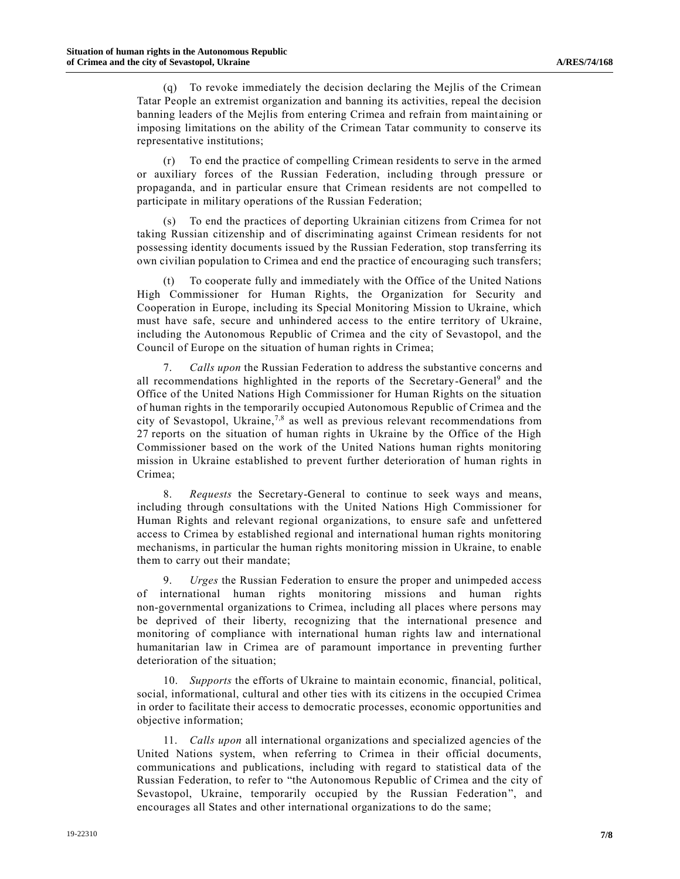(q) To revoke immediately the decision declaring the Mejlis of the Crimean Tatar People an extremist organization and banning its activities, repeal the decision banning leaders of the Mejlis from entering Crimea and refrain from maint aining or imposing limitations on the ability of the Crimean Tatar community to conserve its representative institutions;

(r) To end the practice of compelling Crimean residents to serve in the armed or auxiliary forces of the Russian Federation, including through pressure or propaganda, and in particular ensure that Crimean residents are not compelled to participate in military operations of the Russian Federation;

(s) To end the practices of deporting Ukrainian citizens from Crimea for not taking Russian citizenship and of discriminating against Crimean residents for not possessing identity documents issued by the Russian Federation, stop transferring its own civilian population to Crimea and end the practice of encouraging such transfers;

(t) To cooperate fully and immediately with the Office of the United Nations High Commissioner for Human Rights, the Organization for Security and Cooperation in Europe, including its Special Monitoring Mission to Ukraine, which must have safe, secure and unhindered access to the entire territory of Ukraine, including the Autonomous Republic of Crimea and the city of Sevastopol, and the Council of Europe on the situation of human rights in Crimea;

7. *Calls upon* the Russian Federation to address the substantive concerns and a[l](#page-2-0)l recommendations highlighted in the reports of the Secretary-General<sup>9</sup> and the Office of the United Nations High Commissioner for Human Rights on the situation of human rights in the temporarily occupied Autonomous Republic of Crimea and the city of Sevastopol, Ukraine,<sup>[7,](#page-2-1)[8](#page-2-2)</sup> as well as previous relevant recommendations from 27 reports on the situation of human rights in Ukraine by the Office of the High Commissioner based on the work of the United Nations human rights monitoring mission in Ukraine established to prevent further deterioration of human rights in Crimea;

8. *Requests* the Secretary-General to continue to seek ways and means, including through consultations with the United Nations High Commissioner for Human Rights and relevant regional organizations, to ensure safe and unfettered access to Crimea by established regional and international human rights monitoring mechanisms, in particular the human rights monitoring mission in Ukraine, to enable them to carry out their mandate;

9. *Urges* the Russian Federation to ensure the proper and unimpeded access of international human rights monitoring missions and human rights non-governmental organizations to Crimea, including all places where persons may be deprived of their liberty, recognizing that the international presence and monitoring of compliance with international human rights law and international humanitarian law in Crimea are of paramount importance in preventing further deterioration of the situation;

10. *Supports* the efforts of Ukraine to maintain economic, financial, political, social, informational, cultural and other ties with its citizens in the occupied Crimea in order to facilitate their access to democratic processes, economic opportunities and objective information;

11. *Calls upon* all international organizations and specialized agencies of the United Nations system, when referring to Crimea in their official documents, communications and publications, including with regard to statistical data of the Russian Federation, to refer to "the Autonomous Republic of Crimea and the city of Sevastopol, Ukraine, temporarily occupied by the Russian Federation", and encourages all States and other international organizations to do the same;